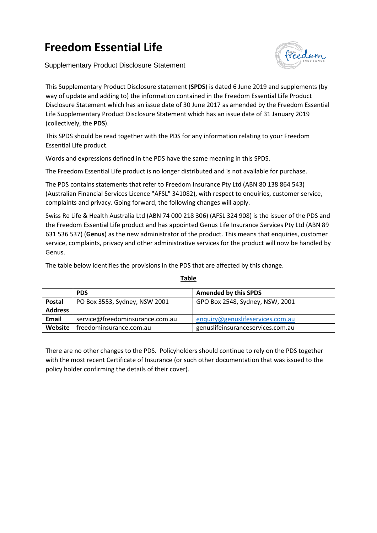## **Freedom Essential Life**

Supplementary Product Disclosure Statement



This Supplementary Product Disclosure statement (**SPDS**) is dated 6 June 2019 and supplements (by way of update and adding to) the information contained in the Freedom Essential Life Product Disclosure Statement which has an issue date of 30 June 2017 as amended by the Freedom Essential Life Supplementary Product Disclosure Statement which has an issue date of 31 January 2019 (collectively, the **PDS**).

This SPDS should be read together with the PDS for any information relating to your Freedom Essential Life product.

Words and expressions defined in the PDS have the same meaning in this SPDS.

The Freedom Essential Life product is no longer distributed and is not available for purchase.

The PDS contains statements that refer to Freedom Insurance Pty Ltd (ABN 80 138 864 543) (Australian Financial Services Licence "AFSL" 341082), with respect to enquiries, customer service, complaints and privacy. Going forward, the following changes will apply.

Swiss Re Life & Health Australia Ltd (ABN 74 000 218 306) (AFSL 324 908) is the issuer of the PDS and the Freedom Essential Life product and has appointed Genus Life Insurance Services Pty Ltd (ABN 89 631 536 537) (**Genus**) as the new administrator of the product. This means that enquiries, customer service, complaints, privacy and other administrative services for the product will now be handled by Genus.

The table below identifies the provisions in the PDS that are affected by this change.

|                | <b>PDS</b>                      | <b>Amended by this SPDS</b>       |
|----------------|---------------------------------|-----------------------------------|
| Postal         | PO Box 3553, Sydney, NSW 2001   | GPO Box 2548, Sydney, NSW, 2001   |
| <b>Address</b> |                                 |                                   |
| <b>Email</b>   | service@freedominsurance.com.au | enquiry@genuslifeservices.com.au  |
| Website        | freedominsurance.com.au         | genuslifeinsuranceservices.com.au |

**Table**

There are no other changes to the PDS. Policyholders should continue to rely on the PDS together with the most recent Certificate of Insurance (or such other documentation that was issued to the policy holder confirming the details of their cover).